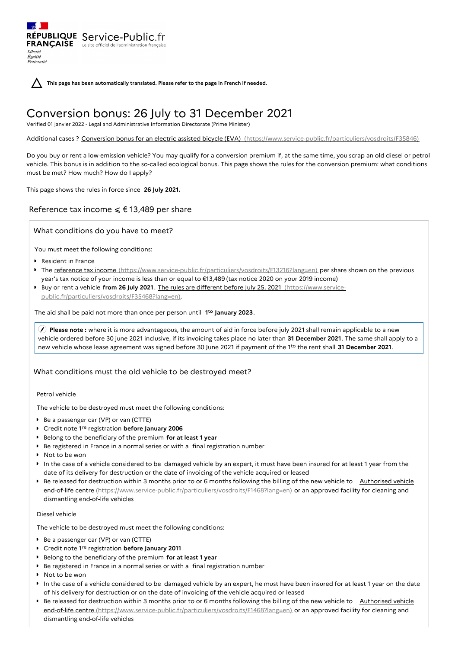RÉPUBLIQUE Service-Public.fr **FRANÇAISE** Le site officiel de l'administration fran Liberté Égalité<br>Fraternité

**This page has been automatically translated. Please refer to the page in French if needed.**

# Conversion bonus: 26 July to 31 December 2021

Verified 01 janvier 2022 - Legal and Administrative Information Directorate (Prime Minister)

Additional cases ? Conversion bonus for an electric assisted bicycle (EVA) [\(https://www.service-public.fr/particuliers/vosdroits/F35846\)](https://www.service-public.fr/particuliers/vosdroits/F35846)

Do you buy or rent a low-emission vehicle? You may qualify for a conversion premium if, at the same time, you scrap an old diesel or petrol vehicle. This bonus is in addition to the so-called ecological bonus. This page shows the rules for the conversion premium: what conditions must be met? How much? How do I apply?

This page shows the rules in force since **26 July 2021.**

# Reference tax income  $\leq$  € 13,489 per share

What conditions do you have to meet?

You must meet the following conditions:

- ▶ Resident in France
- The reference tax income [\(https://www.service-public.fr/particuliers/vosdroits/F13216?lang=en\)](https://www.service-public.fr/particuliers/vosdroits/F13216?lang=en) per share shown on the previous year's tax notice of your income is less than or equal to €13,489 (tax notice 2020 on your 2019 income)
- Buy or rent a vehicle **from 26 July 2021** . The rules are different before July 25, 2021 (https://www.service[public.fr/particuliers/vosdroits/F35468?lang=en\).](https://www.service-public.fr/particuliers/vosdroits/F35468?lang=en)

The aid shall be paid not more than once per person until 1<sup>to</sup> January 2023.

 **Please note :** where it is more advantageous, the amount of aid in force before july 2021 shall remain applicable to a new vehicle ordered before 30 june 2021 inclusive, if its invoicing takes place no later than **31 December 2021**. The same shall apply to a new vehicle whose lease agreement was signed before 30 June 2021 if payment of the 1<sup>to</sup> the rent shall 31 December 2021.

### What conditions must the old vehicle to be destroyed meet?

Petrol vehicle

The vehicle to be destroyed must meet the following conditions:

- Be a passenger car (VP) or van (CTTE)
- Credit note 1<sup>re</sup> registration **before January 2006**
- Belong to the beneficiary of the premium **for at least 1 year**
- Be registered in France in a normal series or with a final registration number
- ▶ Not to be won
- In the case of a vehicle considered to be damaged vehicle by an expert, it must have been insured for at least 1 year from the date of its delivery for destruction or the date of invoicing of the vehicle acquired or leased
- Be released for destruction within 3 months prior to or 6 months following the billing of the new vehicle to Authorised vehicle end-of-life centre [\(https://www.service-public.fr/particuliers/vosdroits/F1468?lang=en\)](https://www.service-public.fr/particuliers/vosdroits/F1468?lang=en) or an approved facility for cleaning and dismantling end-of-life vehicles

#### Diesel vehicle

The vehicle to be destroyed must meet the following conditions:

- Be a passenger car (VP) or van (CTTE)
- Credit note 1<sup>re</sup> registration **before January 2011**
- Belong to the beneficiary of the premium **for at least 1 year**
- Be registered in France in a normal series or with a final registration number
- ▶ Not to be won
- In the case of a vehicle considered to be damaged vehicle by an expert, he must have been insured for at least 1 year on the date of his delivery for destruction or on the date of invoicing of the vehicle acquired or leased
- Be released for destruction within 3 months prior to or 6 months following the billing of the new vehicle to Authorised vehicle end-of-life centre [\(https://www.service-public.fr/particuliers/vosdroits/F1468?lang=en\)](https://www.service-public.fr/particuliers/vosdroits/F1468?lang=en) or an approved facility for cleaning and dismantling end-of-life vehicles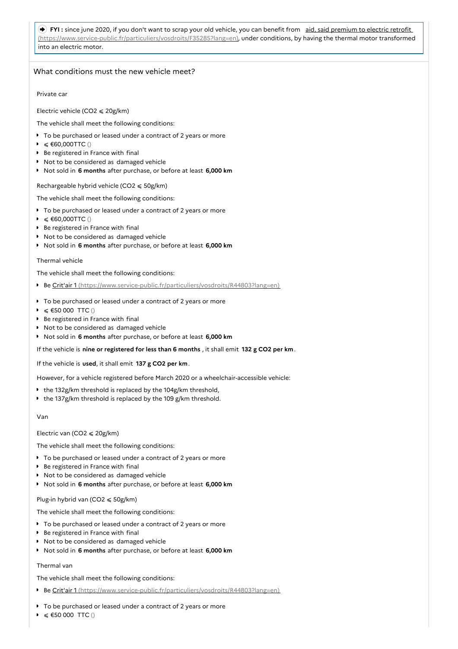## FYI: since june 2020, if you don't want to scrap your old vehicle, you can benefit from aid, said premium to electric retrofit [\(https://www.service-public.fr/particuliers/vosdroits/F35285?lang=en\),](https://www.service-public.fr/particuliers/vosdroits/F35285?lang=en) under conditions, by having the thermal motor transformed into an electric motor.

## What conditions must the new vehicle meet?

Private car

Electric vehicle (CO2  $\leq$  20g/km)

The vehicle shall meet the following conditions:

- To be purchased or leased under a contract of 2 years or more
- $\triangleright$  ≤ €60,000TTC ()
- **Be registered in France with final**
- **Not to be considered as damaged vehicle**
- Not sold in **6 months** after purchase, or before at least **6,000 km**

Rechargeable hybrid vehicle (CO2  $\leq 50$ g/km)

The vehicle shall meet the following conditions:

- To be purchased or leased under a contract of 2 years or more
- $\triangleright$  ≤ €60,000TTC ()
- **Be registered in France with final**
- Not to be considered as damaged vehicle
- Not sold in **6 months** after purchase, or before at least **6,000 km**

#### Thermal vehicle

The vehicle shall meet the following conditions:

- Be Crit'air 1 [\(https://www.service-public.fr/particuliers/vosdroits/R44803?lang=en\)](https://www.service-public.fr/particuliers/vosdroits/R44803?lang=en)
- To be purchased or leased under a contract of 2 years or more
- $\triangleright$  ≤ €50 000 TTC ()
- **Be registered in France with final**
- Not to be considered as damaged vehicle
- Not sold in **6 months** after purchase, or before at least **6,000 km**

If the vehicle is **nine or registered for less than 6 months** , it shall emit **132 g CO2 per km**.

If the vehicle is **used**, it shall emit **137 g CO2 per km**.

However, for a vehicle registered before March 2020 or a wheelchair-accessible vehicle:

- $\bullet$  the 132g/km threshold is replaced by the 104g/km threshold,
- the 137g/km threshold is replaced by the 109 g/km threshold.

#### Van

### Electric van (CO2 ⩽ 20g/km)

The vehicle shall meet the following conditions:

- To be purchased or leased under a contract of 2 years or more
- Be registered in France with final
- ▶ Not to be considered as damaged vehicle
- Not sold in **6 months** after purchase, or before at least **6,000 km**

### Plug-in hybrid van (CO2  $\leq 50$ g/km)

The vehicle shall meet the following conditions:

- To be purchased or leased under a contract of 2 years or more
- **Be registered in France with final**
- **Not to be considered as damaged vehicle**
- Not sold in **6 months** after purchase, or before at least **6,000 km**

### Thermal van

The vehicle shall meet the following conditions:

- Be Crit'air 1 [\(https://www.service-public.fr/particuliers/vosdroits/R44803?lang=en\)](https://www.service-public.fr/particuliers/vosdroits/R44803?lang=en)
- To be purchased or leased under a contract of 2 years or more
- $≤$  €50 000 TTC ()  $\bullet$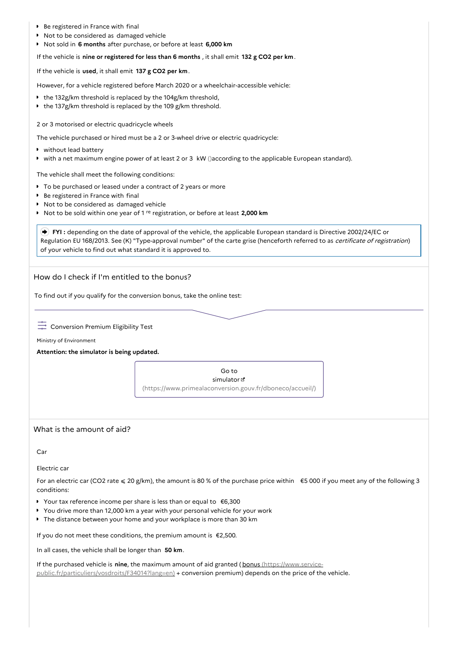- Be registered in France with final
- $\blacksquare$  Not to be considered as damaged vehicle
- Not sold in **6 months** after purchase, or before at least **6,000 km**

If the vehicle is **nine or registered for less than 6 months** , it shall emit **132 g CO2 per km**.

If the vehicle is **used**, it shall emit **137 g CO2 per km**.

However, for a vehicle registered before March 2020 or a wheelchair-accessible vehicle:

- the 132g/km threshold is replaced by the 104g/km threshold,
- the 137g/km threshold is replaced by the 109 g/km threshold.

2 or 3 motorised or electric quadricycle wheels

The vehicle purchased or hired must be a 2 or 3-wheel drive or electric quadricycle:

- without lead battery
- with a net maximum engine power of at least 2 or 3 kW ()according to the applicable European standard).

The vehicle shall meet the following conditions:

- To be purchased or leased under a contract of 2 years or more
- **Be registered in France with final**
- ▶ Not to be considered as damaged vehicle
- Not to be sold within one year of 1 <sup>re</sup> registration, or before at least 2,000 km

 **FYI :** depending on the date of approval of the vehicle, the applicable European standard is Directive 2002/24/EC or Regulation EU 168/2013. See (K) "Type-approval number" of the carte grise (henceforth referred to as certificate of registration) of your vehicle to find out what standard it is approved to.

How do I check if I'm entitled to the bonus?

To find out if you qualify for the conversion bonus, take the online test:

 $\frac{1}{20}$  Conversion Premium Eligibility Test

Ministry of Environment

**Attention: the simulator is being updated.**

Go to simulator<sup>n</sup> [\(https://www.primealaconversion.gouv.fr/dboneco/accueil/\)](https://www.primealaconversion.gouv.fr/dboneco/accueil/)

## What is the amount of aid?

Car

Electric car

For an electric car (CO2 rate  $\leq 20$  g/km), the amount is 80 % of the purchase price within  $\epsilon$  5 000 if you meet any of the following 3 conditions:

- Your tax reference income per share is less than or equal to €6,300
- You drive more than 12,000 km a year with your personal vehicle for your work
- The distance between your home and your workplace is more than 30 km

If you do not meet these conditions, the premium amount is €2,500.

In all cases, the vehicle shall be longer than **50 km**.

If the purchased vehicle is **nine**, the maximum amount of aid granted (bonus (https://www.service[public.fr/particuliers/vosdroits/F34014?lang=en\)](https://www.service-public.fr/particuliers/vosdroits/F34014?lang=en) + conversion premium) depends on the price of the vehicle.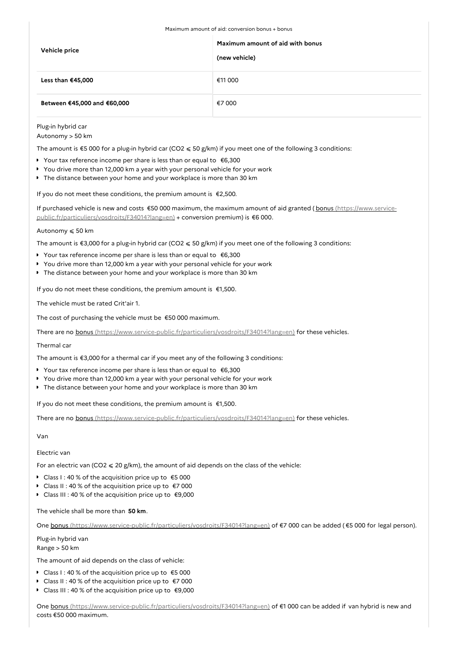| Vehicle price               | Maximum amount of aid with bonus<br>(new vehicle) |
|-----------------------------|---------------------------------------------------|
| Less than €45,000           | €11 000                                           |
| Between €45,000 and €60,000 | €7 000                                            |

Plug-in hybrid car

Autonomy > 50 km

The amount is  $$5 000$  for a plug-in hybrid car (CO2  $\leq 50$  g/km) if you meet one of the following 3 conditions:

- Your tax reference income per share is less than or equal to €6,300
- You drive more than 12,000 km a year with your personal vehicle for your work
- The distance between your home and your workplace is more than 30 km

If you do not meet these conditions, the premium amount is €2,500.

If purchased vehicle is new and costs €50 000 maximum, the maximum amount of aid granted (bonus (https://www.service[public.fr/particuliers/vosdroits/F34014?lang=en\)](https://www.service-public.fr/particuliers/vosdroits/F34014?lang=en) + conversion premium) is €6 000.

Autonomy ⩽ 50 km

The amount is  $\epsilon$ 3,000 for a plug-in hybrid car (CO2  $\leq$  50 g/km) if you meet one of the following 3 conditions:

- Your tax reference income per share is less than or equal to €6,300
- You drive more than 12,000 km a year with your personal vehicle for your work
- The distance between your home and your workplace is more than 30 km

If you do not meet these conditions, the premium amount is €1,500.

The vehicle must be rated Crit'air 1.

The cost of purchasing the vehicle must be €50 000 maximum.

There are no bonus [\(https://www.service-public.fr/particuliers/vosdroits/F34014?lang=en\)](https://www.service-public.fr/particuliers/vosdroits/F34014?lang=en) for these vehicles.

#### Thermal car

The amount is €3,000 for a thermal car if you meet any of the following 3 conditions:

- Your tax reference income per share is less than or equal to €6,300
- You drive more than 12,000 km a year with your personal vehicle for your work
- The distance between your home and your workplace is more than 30 km

If you do not meet these conditions, the premium amount is  $\epsilon$ 1,500.

There are no bonus [\(https://www.service-public.fr/particuliers/vosdroits/F34014?lang=en\)](https://www.service-public.fr/particuliers/vosdroits/F34014?lang=en) for these vehicles.

Van

Electric van

For an electric van (CO2  $\leq$  20 g/km), the amount of aid depends on the class of the vehicle:

- Class I : 40 % of the acquisition price up to €5 000
- Class II : 40 % of the acquisition price up to €7 000
- Class III : 40 % of the acquisition price up to €9,000

The vehicle shall be more than **50 km**.

One bonus [\(https://www.service-public.fr/particuliers/vosdroits/F34014?lang=en\)](https://www.service-public.fr/particuliers/vosdroits/F34014?lang=en) of €7 000 can be added (€5 000 for legal person).

## Plug-in hybrid van

Range > 50 km

The amount of aid depends on the class of vehicle:

- Class I : 40 % of the acquisition price up to €5 000
- Class II : 40 % of the acquisition price up to €7 000
- Class III : 40 % of the acquisition price up to €9,000

One bonus [\(https://www.service-public.fr/particuliers/vosdroits/F34014?lang=en\)](https://www.service-public.fr/particuliers/vosdroits/F34014?lang=en) of €1 000 can be added if van hybrid is new and costs €50 000 maximum.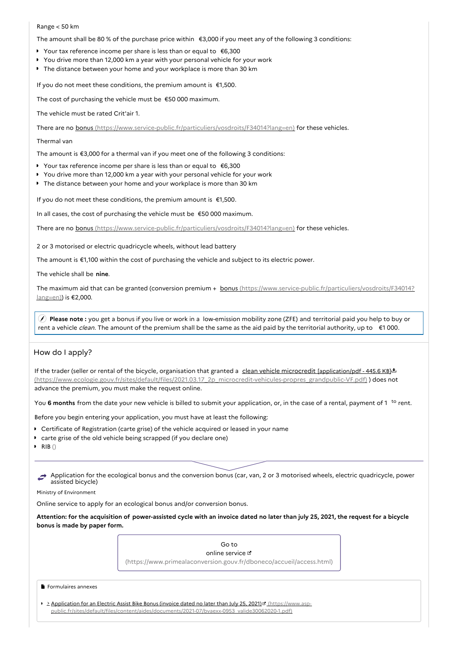#### Range < 50 km

The amount shall be 80 % of the purchase price within €3,000 if you meet any of the following 3 conditions:

- Your tax reference income per share is less than or equal to €6,300
- You drive more than 12,000 km a year with your personal vehicle for your work
- The distance between your home and your workplace is more than 30 km

If you do not meet these conditions, the premium amount is €1,500.

The cost of purchasing the vehicle must be €50 000 maximum.

The vehicle must be rated Crit'air 1.

There are no bonus [\(https://www.service-public.fr/particuliers/vosdroits/F34014?lang=en\)](https://www.service-public.fr/particuliers/vosdroits/F34014?lang=en) for these vehicles.

#### Thermal van

The amount is €3,000 for a thermal van if you meet one of the following 3 conditions:

- Your tax reference income per share is less than or equal to €6,300
- You drive more than 12,000 km a year with your personal vehicle for your work
- The distance between your home and your workplace is more than 30 km

If you do not meet these conditions, the premium amount is €1,500.

In all cases, the cost of purchasing the vehicle must be €50 000 maximum.

There are no bonus [\(https://www.service-public.fr/particuliers/vosdroits/F34014?lang=en\)](https://www.service-public.fr/particuliers/vosdroits/F34014?lang=en) for these vehicles.

2 or 3 motorised or electric quadricycle wheels, without lead battery

The amount is €1,100 within the cost of purchasing the vehicle and subject to its electric power.

The vehicle shall be **nine**.

The maximum aid that can be granted (conversion premium + bonus [\(https://www.service-public.fr/particuliers/vosdroits/F34014?](https://www.service-public.fr/particuliers/vosdroits/F34014?lang=en) lang=en)) is €2,000.

 **Please note :** you get a bonus if you live or work in a low-emission mobility zone (ZFE) and territorial paid you help to buy or rent a vehicle *clean*. The amount of the premium shall be the same as the aid paid by the territorial authority, up to  $\epsilon$ 1 000.

## How do I apply?

If the trader (seller or rental of the bicycle, organisation that granted a clean vehicle microcredit [application/pdf - 445.6 KB] $\pm$ [\(https://www.ecologie.gouv.fr/sites/default/files/2021.03.17\\_2p\\_microcredit-vehicules-propres\\_grandpublic-VF.pdf\)](https://www.ecologie.gouv.fr/sites/default/files/2021.03.17_2p_microcredit-vehicules-propres_grandpublic-VF.pdf) ) does not advance the premium, you must make the request online.

You 6 months from the date your new vehicle is billed to submit your application, or, in the case of a rental, payment of 1 <sup>to</sup> rent.

Before you begin entering your application, you must have at least the following:

- Certificate of Registration (carte grise) of the vehicle acquired or leased in your name
- carte grise of the old vehicle being scrapped (if you declare one)
- $\triangleright$  RIB()

Application for the ecological bonus and the conversion bonus (car, van, 2 or 3 motorised wheels, electric quadricycle, power assisted bicycle)

Ministry of Environment

Online service to apply for an ecological bonus and/or conversion bonus.

Attention: for the acquisition of power-assisted cycle with an invoice dated no later than july 25, 2021, the request for a bicycle **bonus is made by paper form.**

# Go to online service  $\mathfrak a$ [\(https://www.primealaconversion.gouv.fr/dboneco/accueil/access.html\)](https://www.primealaconversion.gouv.fr/dboneco/accueil/access.html)

#### Formulaires annexes

Application for an Electric Assist Bike Bonus (invoice dated no later than July 25, 2021) <sup>d</sup> (https://www.asp[public.fr/sites/default/files/content/aides/documents/2021-07/bvaexx-0953\\_valide30062020-1.pdf\)](https://www.asp-public.fr/sites/default/files/content/aides/documents/2021-07/bvaexx-0953_valide30062020-1.pdf)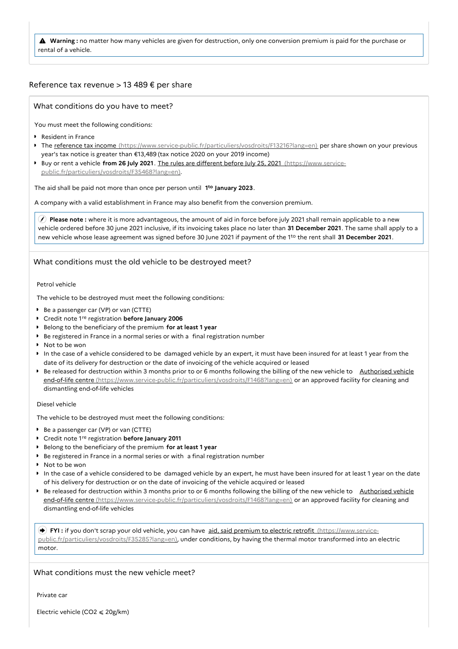**Warning :** no matter how many vehicles are given for destruction, only one conversion premium is paid for the purchase or rental of a vehicle.

## Reference tax revenue > 13 489 € per share

What conditions do you have to meet?

You must meet the following conditions:

- **Resident in France**
- The reference tax income [\(https://www.service-public.fr/particuliers/vosdroits/F13216?lang=en\)](https://www.service-public.fr/particuliers/vosdroits/F13216?lang=en) per share shown on your previous year's tax notice is greater than €13,489 (tax notice 2020 on your 2019 income)
- Buy or rent a vehicle **from 26 July 2021** . The rules are different before July 25, 2021 (https://www.service[public.fr/particuliers/vosdroits/F35468?lang=en\).](https://www.service-public.fr/particuliers/vosdroits/F35468?lang=en)

The aid shall be paid not more than once per person until 1<sup>to</sup> January 2023.

A company with a valid establishment in France may also benefit from the conversion premium.

 **Please note :** where it is more advantageous, the amount of aid in force before july 2021 shall remain applicable to a new vehicle ordered before 30 june 2021 inclusive, if its invoicing takes place no later than **31 December 2021**. The same shall apply to a new vehicle whose lease agreement was signed before 30 June 2021 if payment of the 1<sup>to</sup> the rent shall 31 December 2021.

# What conditions must the old vehicle to be destroyed meet?

## Petrol vehicle

The vehicle to be destroyed must meet the following conditions:

- Be a passenger car (VP) or van (CTTE)
- Credit note 1<sup>re</sup> registration **before January 2006**
- Belong to the beneficiary of the premium **for at least 1 year**
- **Be registered in France in a normal series or with a final registration number**
- Not to be won
- In the case of a vehicle considered to be damaged vehicle by an expert, it must have been insured for at least 1 year from the date of its delivery for destruction or the date of invoicing of the vehicle acquired or leased
- Be released for destruction within 3 months prior to or 6 months following the billing of the new vehicle to Authorised vehicle end-of-life centre [\(https://www.service-public.fr/particuliers/vosdroits/F1468?lang=en\)](https://www.service-public.fr/particuliers/vosdroits/F1468?lang=en) or an approved facility for cleaning and dismantling end-of-life vehicles

#### Diesel vehicle

The vehicle to be destroyed must meet the following conditions:

- Be a passenger car (VP) or van (CTTE)
- Credit note 1<sup>re</sup> registration **before January 2011**
- Belong to the beneficiary of the premium **for at least 1 year**
- Be registered in France in a normal series or with a final registration number
- ▶ Not to be won
- In the case of a vehicle considered to be damaged vehicle by an expert, he must have been insured for at least 1 year on the date of his delivery for destruction or on the date of invoicing of the vehicle acquired or leased
- Be released for destruction within 3 months prior to or 6 months following the billing of the new vehicle to Authorised vehicle end-of-life centre [\(https://www.service-public.fr/particuliers/vosdroits/F1468?lang=en\)](https://www.service-public.fr/particuliers/vosdroits/F1468?lang=en) or an approved facility for cleaning and dismantling end-of-life vehicles

 **FYI :** if you don't scrap your old vehicle, you can have aid, said premium to electric retrofit (https://www.service[public.fr/particuliers/vosdroits/F35285?lang=en\),](https://www.service-public.fr/particuliers/vosdroits/F35285?lang=en) under conditions, by having the thermal motor transformed into an electric motor.

What conditions must the new vehicle meet?

Private car

Electric vehicle (CO2  $\leq 20$ g/km)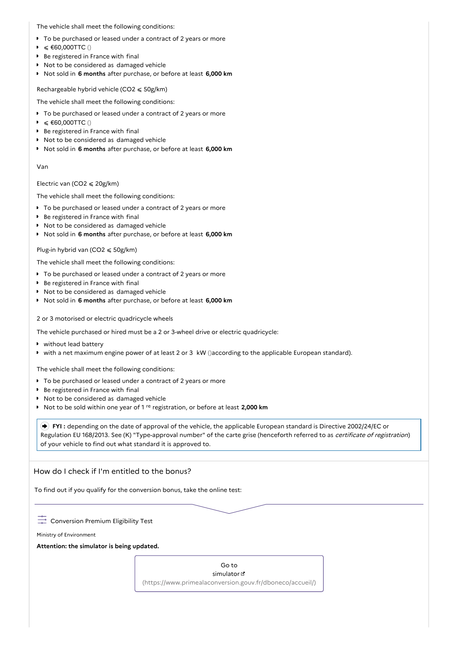The vehicle shall meet the following conditions:

- To be purchased or leased under a contract of 2 years or more
- $≤$  €60,000TTC ()  $\bullet$
- Be registered in France with final
- Not to be considered as damaged vehicle
- Not sold in **6 months** after purchase, or before at least **6,000 km**

Rechargeable hybrid vehicle (CO2  $\leq$  50g/km)

The vehicle shall meet the following conditions:

- $\bullet$  To be purchased or leased under a contract of 2 years or more
- $\triangleright$  ≤ €60,000TTC ()
- ▶ Be registered in France with final
- ▶ Not to be considered as damaged vehicle
- Not sold in **6 months** after purchase, or before at least **6,000 km**

#### Van

#### Electric van (CO2  $\leq 20$ g/km)

The vehicle shall meet the following conditions:

- To be purchased or leased under a contract of 2 years or more
- ▶ Be registered in France with final
- $\triangleright$  Not to be considered as damaged vehicle
- Not sold in **6 months** after purchase, or before at least **6,000 km**

#### Plug-in hybrid van (CO2  $\leq 50$ g/km)

The vehicle shall meet the following conditions:

- To be purchased or leased under a contract of 2 years or more
- Be registered in France with final
- Not to be considered as damaged vehicle
- Not sold in **6 months** after purchase, or before at least **6,000 km**

2 or 3 motorised or electric quadricycle wheels

The vehicle purchased or hired must be a 2 or 3-wheel drive or electric quadricycle:

- without lead battery
- with a net maximum engine power of at least 2 or 3 kW ()according to the applicable European standard).

The vehicle shall meet the following conditions:

- To be purchased or leased under a contract of 2 years or more
- Be registered in France with final
- **Not to be considered as damaged vehicle**
- Not to be sold within one year of 1<sup>re</sup> registration, or before at least 2,000 km

 **FYI :** depending on the date of approval of the vehicle, the applicable European standard is Directive 2002/24/EC or Regulation EU 168/2013. See (K) "Type-approval number" of the carte grise (henceforth referred to as certificate of registration) of your vehicle to find out what standard it is approved to.

## How do I check if I'm entitled to the bonus?

To find out if you qualify for the conversion bonus, take the online test:

 $\overline{\phantom{a}}$  Conversion Premium Eligibility Test

Ministry of Environment

**Attention: the simulator is being updated.**

Go to simulator<sup>8</sup> [\(https://www.primealaconversion.gouv.fr/dboneco/accueil/\)](https://www.primealaconversion.gouv.fr/dboneco/accueil/)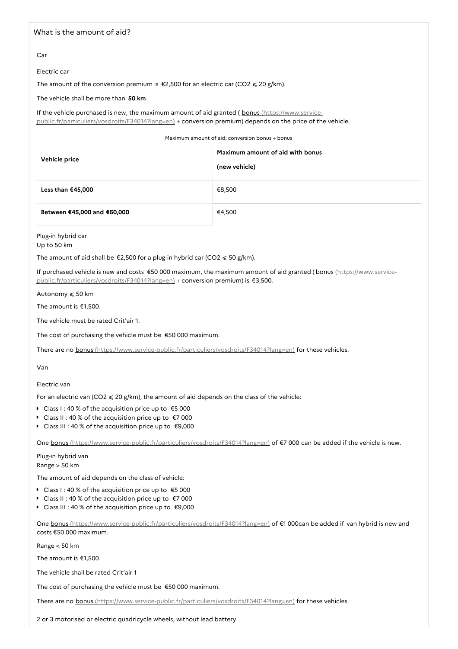## What is the amount of aid?

Car

Electric car

The amount of the conversion premium is  $\epsilon$ 2,500 for an electric car (CO2  $\leq$  20 g/km).

The vehicle shall be more than **50 km**.

If the vehicle purchased is new, the maximum amount of aid granted ( bonus (https://www.service[public.fr/particuliers/vosdroits/F34014?lang=en\)](https://www.service-public.fr/particuliers/vosdroits/F34014?lang=en) + conversion premium) depends on the price of the vehicle.

Maximum amount of aid: conversion bonus + bonus

| Vehicle price               | Maximum amount of aid with bonus<br>(new vehicle) |
|-----------------------------|---------------------------------------------------|
| Less than €45,000           | €8,500                                            |
| Between €45,000 and €60,000 | €4,500                                            |

Plug-in hybrid car

Up to 50 km

The amount of aid shall be  $\epsilon$ 2,500 for a plug-in hybrid car (CO2  $\leq$  50 g/km).

If purchased vehicle is new and costs €50 000 maximum, the maximum amount of aid granted (bonus (https://www.service[public.fr/particuliers/vosdroits/F34014?lang=en\)](https://www.service-public.fr/particuliers/vosdroits/F34014?lang=en) + conversion premium) is €3,500.

Autonomy  $\leqslant$  50 km

The amount is €1,500.

The vehicle must be rated Crit'air 1.

The cost of purchasing the vehicle must be €50 000 maximum.

There are no bonus [\(https://www.service-public.fr/particuliers/vosdroits/F34014?lang=en\)](https://www.service-public.fr/particuliers/vosdroits/F34014?lang=en) for these vehicles.

## Van

Electric van

For an electric van (CO2  $\leq$  20 g/km), the amount of aid depends on the class of the vehicle:

- Class I : 40 % of the acquisition price up to €5 000
- Class II : 40 % of the acquisition price up to €7 000
- Class III : 40 % of the acquisition price up to  $\epsilon$ 9,000

One bonus [\(https://www.service-public.fr/particuliers/vosdroits/F34014?lang=en\)](https://www.service-public.fr/particuliers/vosdroits/F34014?lang=en) of €7 000 can be added if the vehicle is new.

Plug-in hybrid van Range > 50 km

The amount of aid depends on the class of vehicle:

- Class I : 40 % of the acquisition price up to €5 000
- Class II : 40 % of the acquisition price up to €7 000
- Class III : 40 % of the acquisition price up to €9,000

One bonus [\(https://www.service-public.fr/particuliers/vosdroits/F34014?lang=en\)](https://www.service-public.fr/particuliers/vosdroits/F34014?lang=en) of €1 000can be added if van hybrid is new and costs €50 000 maximum.

Range < 50 km

The amount is €1,500.

The vehicle shall be rated Crit'air 1

The cost of purchasing the vehicle must be €50 000 maximum.

There are no bonus [\(https://www.service-public.fr/particuliers/vosdroits/F34014?lang=en\)](https://www.service-public.fr/particuliers/vosdroits/F34014?lang=en) for these vehicles.

2 or 3 motorised or electric quadricycle wheels, without lead battery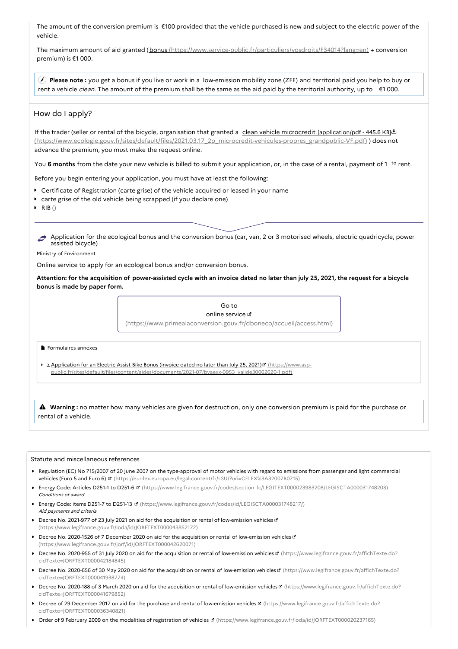The amount of the conversion premium is €100 provided that the vehicle purchased is new and subject to the electric power of the vehicle.

The maximum amount of aid granted (bonus [\(https://www.service-public.fr/particuliers/vosdroits/F34014?lang=en\)](https://www.service-public.fr/particuliers/vosdroits/F34014?lang=en) + conversion premium) is €1 000.

 **Please note :** you get a bonus if you live or work in a low-emission mobility zone (ZFE) and territorial paid you help to buy or rent a vehicle *clean*. The amount of the premium shall be the same as the aid paid by the territorial authority, up to €1 000.

## How do I apply?

If the trader (seller or rental of the bicycle, organisation that granted a clean vehicle microcredit [application/pdf - 445.6 KB]. [\(https://www.ecologie.gouv.fr/sites/default/files/2021.03.17\\_2p\\_microcredit-vehicules-propres\\_grandpublic-VF.pdf\)](https://www.ecologie.gouv.fr/sites/default/files/2021.03.17_2p_microcredit-vehicules-propres_grandpublic-VF.pdf) ) does not advance the premium, you must make the request online.

You 6 months from the date your new vehicle is billed to submit your application, or, in the case of a rental, payment of 1 <sup>to</sup> rent.

Before you begin entering your application, you must have at least the following:

- Certificate of Registration (carte grise) of the vehicle acquired or leased in your name
- carte grise of the old vehicle being scrapped (if you declare one)
- $\triangleright$  RIB()

Application for the ecological bonus and the conversion bonus (car, van, 2 or 3 motorised wheels, electric quadricycle, power assisted bicycle)

#### Ministry of Environment

Online service to apply for an ecological bonus and/or conversion bonus.

Attention: for the acquisition of power-assisted cycle with an invoice dated no later than july 25, 2021, the request for a bicycle **bonus is made by paper form.**



Formulaires annexes

2 Application for an Electric Assist Bike Bonus (invoice dated no later than July 25, 2021) d' (https://www.asp[public.fr/sites/default/files/content/aides/documents/2021-07/bvaexx-0953\\_valide30062020-1.pdf\)](https://www.asp-public.fr/sites/default/files/content/aides/documents/2021-07/bvaexx-0953_valide30062020-1.pdf)

 **Warning :** no matter how many vehicles are given for destruction, only one conversion premium is paid for the purchase or rental of a vehicle.

#### Statute and miscellaneous references

- ▶ Regulation (EC) No 715/2007 of 20 June 2007 on the type-approval of motor vehicles with regard to emissions from passenger and light commercial vehicles (Euro 5 and Euro 6) & [\(https://eur-lex.europa.eu/legal-content/fr/LSU/?uri=CELEX%3A32007R0715\)](https://eur-lex.europa.eu/legal-content/fr/LSU/?uri=CELEX%253A32007R0715)
- Energy Code: Articles D251-1 to D251-6 **¤** [\(https://www.legifrance.gouv.fr/codes/section\\_lc/LEGITEXT000023983208/LEGISCTA000031748203\)](https://www.legifrance.gouv.fr/codes/section_lc/LEGITEXT000023983208/LEGISCTA000031748203) Conditions of award
- Energy Code: items D251-7 to D251-13 **¤** [\(https://www.legifrance.gouv.fr/codes/id/LEGISCTA000031748217/\)](https://www.legifrance.gouv.fr/codes/id/LEGISCTA000031748217/) Aid payments and criteria
- Decree No. 2021-977 of 23 July 2021 on aid for the acquisition or rental of low-emission vehicles [\(https://www.legifrance.gouv.fr/loda/id/JORFTEXT000043852172\)](https://www.legifrance.gouv.fr/loda/id/JORFTEXT000043852172)
- Decree No. 2020-1526 of 7 December 2020 on aid for the acquisition or rental of low-emission vehicles in [\(https://www.legifrance.gouv.fr/jorf/id/JORFTEXT000042620071\)](https://www.legifrance.gouv.fr/jorf/id/JORFTEXT000042620071)
- Decree No. 2020-955 of 31 July 2020 on aid for the acquisition or rental of low-emission vehicles ¤ [\(https://www.legifrance.gouv.fr/affichTexte.do?](https://www.legifrance.gouv.fr/affichTexte.do?cidTexte=JORFTEXT000042184845) cidTexte=JORFTEXT000042184845)
- Decree No. 2020-656 of 30 May 2020 on aid for the acquisition or rental of low-emission vehicles ¤ [\(https://www.legifrance.gouv.fr/affichTexte.do?](https://www.legifrance.gouv.fr/affichTexte.do?cidTexte=JORFTEXT000041938774) cidTexte=JORFTEXT000041938774)
- Decree No. 2020-188 of 3 March 2020 on aid for the acquisition or rental of low-emission vehicles ¤ [\(https://www.legifrance.gouv.fr/affichTexte.do?](https://www.legifrance.gouv.fr/affichTexte.do?cidTexte=JORFTEXT000041679852) cidTexte=JORFTEXT000041679852)
- ▶ Decree of 29 December 2017 on aid for the purchase and rental of low-emission vehicles ¤ [\(https://www.legifrance.gouv.fr/affichTexte.do?](https://www.legifrance.gouv.fr/affichTexte.do?cidTexte=JORFTEXT000036340821) cidTexte=JORFTEXT000036340821)
- Order of 9 February 2009 on the modalities of registration of vehicles **¤** [\(https://www.legifrance.gouv.fr/loda/id/JORFTEXT000020237165\)](https://www.legifrance.gouv.fr/loda/id/JORFTEXT000020237165)